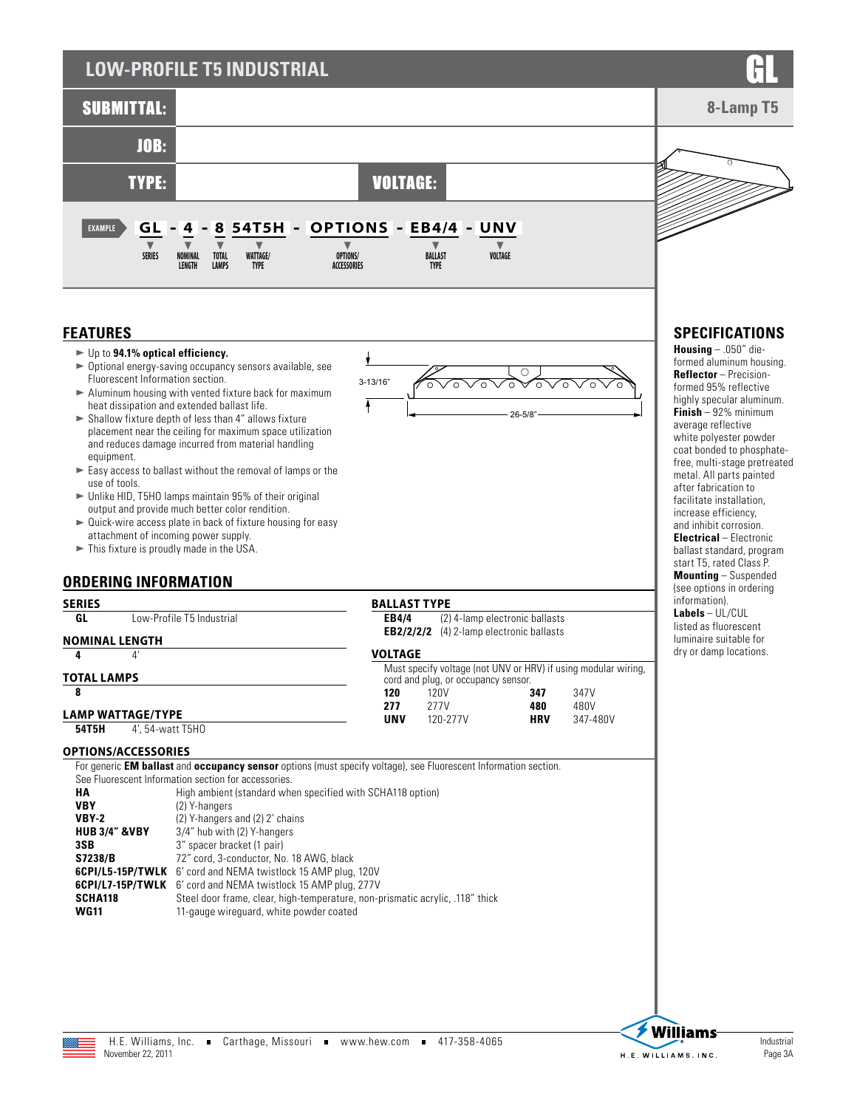# **LOW-PROFILE T5 INDUSTRIAL**



 $3-$ 

 $\overline{\phantom{a}}$ 

### **FEATURES**

- ► Up to 94.1% optical efficiency.
- $\triangleright$  Optional energy-saving occupancy sensors available, see Fluorescent Information section.
- $\blacktriangleright$  Aluminum housing with vented fixture back for maximum heat dissipation and extended ballast life.
- $\blacktriangleright$  Shallow fixture depth of less than 4" allows fixture placement near the ceiling for maximum space utilization and reduces damage incurred from material handling equipment.
- $\blacktriangleright$  Easy access to ballast without the removal of lamps or the use of tools.
- $\blacktriangleright$  Unlike HID, T5HO lamps maintain 95% of their original output and provide much better color rendition.
- $\blacktriangleright$  Quick-wire access plate in back of fixture housing for easy attachment of incoming power supply.
- $\blacktriangleright$  This fixture is proudly made in the USA.

**GL** Low-Profile T5 Industrial

### **ORDERING INFORMATION**

| 13/16" | vovoVoVo     |  |
|--------|--------------|--|
|        | $26 - 5/8$ " |  |

**EB4/4** (2) 4-lamp electronic ballasts

**HRV** 347-480V

| CD4/4          | TZT4-Rund electronic banasts<br><b>EB2/2/2/2</b> (4) 2-lamp electronic ballasts                       |     |      |
|----------------|-------------------------------------------------------------------------------------------------------|-----|------|
| <b>VOLTAGE</b> |                                                                                                       |     |      |
|                | Must specify voltage (not UNV or HRV) if using modular wiring,<br>cord and plug, or occupancy sensor. |     |      |
| 120            | 120V                                                                                                  | 347 | 347V |
| 277            | 277V                                                                                                  | 480 | 480V |

**BALLAST TYPE** 

**UNV** 120-277V

# **LAMP WATTAGE/TYPE**

**NOMINAL LENGTH 4** 4' **TOTAL LAMPS 8**

**SERIES**

**54T5H** 4', 54-watt T5HO

### **OPTIONS/ACCESSORIES**

For generic **EM ballast** and **occupancy sensor** options (must specify voltage), see Fluorescent Information section. See Fluorescent Information section for accessories.

| HА                       | High ambient (standard when specified with SCHA118 option)                    |
|--------------------------|-------------------------------------------------------------------------------|
| <b>VBY</b>               | (2) Y-hangers                                                                 |
| <b>VBY-2</b>             | (2) Y-hangers and (2) 2' chains                                               |
| <b>HUB 3/4" &amp;VBY</b> | 3/4" hub with (2) Y-hangers                                                   |
| 3SB                      | 3" spacer bracket (1 pair)                                                    |
| S7238/B                  | 72" cord. 3-conductor. No. 18 AWG. black                                      |
|                          | <b>6CPI/L5-15P/TWLK</b> 6' cord and NEMA twistlock 15 AMP plug, 120V          |
|                          | <b>6CPI/L7-15P/TWLK</b> 6' cord and NEMA twistlock 15 AMP plug, 277V          |
| SCHA118                  | Steel door frame, clear, high-temperature, non-prismatic acrylic, .118" thick |
| <b>WG11</b>              | 11-gauge wireguard, white powder coated                                       |

# **SPECIFICATIONS**

**Housing** – .050" dieformed aluminum housing. **Reflector** – Precisionformed 95% reflective highly specular aluminum. **Finish** – 92% minimum average reflective white polyester powder coat bonded to phosphatefree, multi-stage pretreated metal. All parts painted after fabrication to facilitate installation, increase efficiency, and inhibit corrosion. **Electrical** – Electronic ballast standard, program start T5, rated Class P. **Mounting** – Suspended (see options in ordering information). **Labels** – UL/CUL listed as fluorescent luminaire suitable for dry or damp locations.